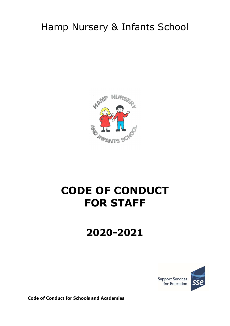## Hamp Nursery & Infants School



# CODE OF CONDUCT FOR STAFF

## 2020-2021



Code of Conduct for Schools and Academies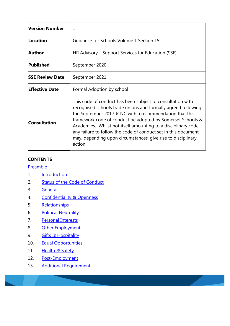| Version Number         | 1                                                                                                                                                                                                                                                                                                                                                                                                                                                                   |
|------------------------|---------------------------------------------------------------------------------------------------------------------------------------------------------------------------------------------------------------------------------------------------------------------------------------------------------------------------------------------------------------------------------------------------------------------------------------------------------------------|
| Location               | Guidance for Schools Volume 1 Section 15                                                                                                                                                                                                                                                                                                                                                                                                                            |
| Author                 | HR Advisory – Support Services for Education (SSE)                                                                                                                                                                                                                                                                                                                                                                                                                  |
| Published              | September 2020                                                                                                                                                                                                                                                                                                                                                                                                                                                      |
| <b>SSE Review Date</b> | September 2021                                                                                                                                                                                                                                                                                                                                                                                                                                                      |
| <b>Effective Date</b>  | Formal Adoption by school                                                                                                                                                                                                                                                                                                                                                                                                                                           |
| <b>Consultation</b>    | This code of conduct has been subject to consultation with<br>recognised schools trade unions and formally agreed following<br>the September 2017 JCNC with a recommendation that this<br>framework code of conduct be adopted by Somerset Schools &<br>Academies. Whilst not itself amounting to a disciplinary code,<br>any failure to follow the code of conduct set in this document<br>may, depending upon circumstances, give rise to disciplinary<br>action. |

#### **CONTENTS**

Preamble

- 1. Introduction
- 2. Status of the Code of Conduct
- 3. General
- 4. Confidentiality & Openness
- 5. Relationships
- 6. Political Neutrality
- 7. Personal Interests
- 8. Other Employment
- 9. **Gifts & Hospitality**
- 10. Equal Opportunities
- 11. Health & Safety
- 12. Post-Employment
- 13. Additional Requirement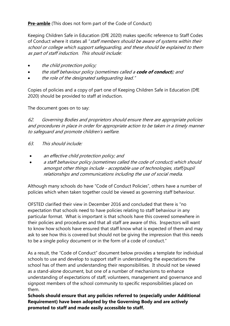## Pre-amble (This does not form part of the Code of Conduct)

Keeping Children Safe in Education (DfE 2020) makes specific reference to Staff Codes of Conduct where it states all "staff members should be aware of systems within their school or college which support safeguarding, and these should be explained to them as part of staff induction. This should include:

- the child protection policy;
- the staff behaviour policy (sometimes called a code of conduct); and
- the role of the designated safeguarding lead."

Copies of policies and a copy of part one of Keeping Children Safe in Education (DfE 2020) should be provided to staff at induction.

The document goes on to say:

62. Governing Bodies and proprietors should ensure there are appropriate policies and procedures in place in order for appropriate action to be taken in a timely manner to safeguard and promote children's welfare.

- 63. This should include:
- an effective child protection policy; and
- a staff behaviour policy (sometimes called the code of conduct) which should amongst other things include - acceptable use of technologies, staff/pupil relationships and communications including the use of social media.

Although many schools do have "Code of Conduct Policies", others have a number of policies which when taken together could be viewed as governing staff behaviour.

OFSTED clarified their view in December 2016 and concluded that there is "no expectation that schools need to have policies relating to staff behaviour in any particular format. What is important is that schools have this covered somewhere in their policies and procedures and that all staff are aware of this. Inspectors will want to know how schools have ensured that staff know what is expected of them and may ask to see how this is covered but should not be giving the impression that this needs to be a single policy document or in the form of a code of conduct."

As a result, the "Code of Conduct" document below provides a template for individual schools to use and develop to support staff in understanding the expectations the school has of them and understanding their responsibilities. It should not be viewed as a stand-alone document, but one of a number of mechanisms to enhance understanding of expectations of staff, volunteers, management and governance and signpost members of the school community to specific responsibilities placed on them.

Schools should ensure that any policies referred to (especially under Additional Requirement) have been adopted by the Governing Body and are actively promoted to staff and made easily accessible to staff.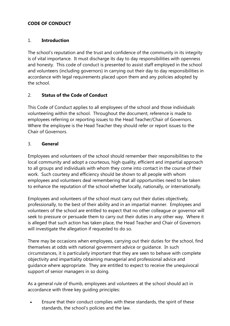### CODE OF CONDUCT

#### 1. Introduction

The school's reputation and the trust and confidence of the community in its integrity is of vital importance. It must discharge its day to day responsibilities with openness and honesty. This code of conduct is presented to assist staff employed in the school and volunteers (including governors) in carrying out their day to day responsibilities in accordance with legal requirements placed upon them and any policies adopted by the school.

#### 2. Status of the Code of Conduct

This Code of Conduct applies to all employees of the school and those individuals volunteering within the school. Throughout the document, reference is made to employees referring or reporting issues to the Head Teacher/Chair of Governors. Where the employee is the Head Teacher they should refer or report issues to the Chair of Governors.

#### 3. General

Employees and volunteers of the school should remember their responsibilities to the local community and adopt a courteous, high quality, efficient and impartial approach to all groups and individuals with whom they come into contact in the course of their work. Such courtesy and efficiency should be shown to all people with whom employees and volunteers deal remembering that all opportunities need to be taken to enhance the reputation of the school whether locally, nationally, or internationally.

 Employees and volunteers of the school must carry out their duties objectively, professionally, to the best of their ability and in an impartial manner. Employees and volunteers of the school are entitled to expect that no other colleague or governor will seek to pressure or persuade them to carry out their duties in any other way. Where it is alleged that such action has taken place, the Head Teacher and Chair of Governors will investigate the allegation if requested to do so.

There may be occasions when employees, carrying out their duties for the school, find themselves at odds with national government advice or guidance. In such circumstances, it is particularly important that they are seen to behave with complete objectivity and impartiality obtaining managerial and professional advice and guidance where appropriate. They are entitled to expect to receive the unequivocal support of senior managers in so doing.

As a general rule of thumb, employees and volunteers at the school should act in accordance with three key guiding principles:

 Ensure that their conduct complies with these standards, the spirit of these standards, the school's policies and the law.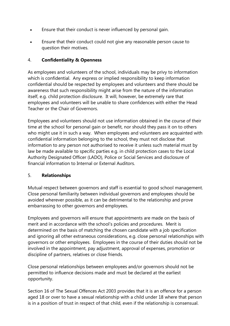- Ensure that their conduct is never influenced by personal gain.
- Ensure that their conduct could not give any reasonable person cause to question their motives.

## 4. Confidentiality & Openness

As employees and volunteers of the school, individuals may be privy to information which is confidential. Any express or implied responsibility to keep information confidential should be respected by employees and volunteers and there should be awareness that such responsibility might arise from the nature of the information itself, e.g. child protection disclosure. It will, however, be extremely rare that employees and volunteers will be unable to share confidences with either the Head Teacher or the Chair of Governors.

Employees and volunteers should not use information obtained in the course of their time at the school for personal gain or benefit, nor should they pass it on to others who might use it in such a way. When employees and volunteers are acquainted with confidential information belonging to the school, they must not disclose that information to any person not authorised to receive it unless such material must by law be made available to specific parties e.g. in child protection cases to the Local Authority Designated Officer (LADO), Police or Social Services and disclosure of financial information to Internal or External Auditors.

#### 5. Relationships

Mutual respect between governors and staff is essential to good school management. Close personal familiarity between individual governors and employees should be avoided wherever possible, as it can be detrimental to the relationship and prove embarrassing to other governors and employees.

Employees and governors will ensure that appointments are made on the basis of merit and in accordance with the school's policies and procedures. Merit is determined on the basis of matching the chosen candidate with a job specification and ignoring all other extraneous considerations, e.g. close personal relationships with governors or other employees. Employees in the course of their duties should not be involved in the appointment, pay adjustment, approval of expenses, promotion or discipline of partners, relatives or close friends.

Close personal relationships between employees and/or governors should not be permitted to influence decisions made and must be declared at the earliest opportunity.

Section 16 of The Sexual Offences Act 2003 provides that it is an offence for a person aged 18 or over to have a sexual relationship with a child under 18 where that person is in a position of trust in respect of that child, even if the relationship is consensual.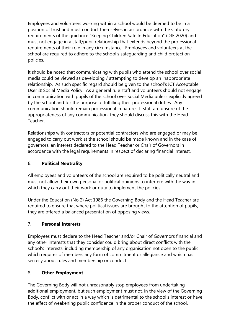Employees and volunteers working within a school would be deemed to be in a position of trust and must conduct themselves in accordance with the statutory requirements of the guidance "Keeping Children Safe In Education" (DfE 2020) and must not engage in a staff/pupil relationship that extends beyond the professional requirements of their role in any circumstance. Employees and volunteers at the school are required to adhere to the school's safeguarding and child protection policies.

It should be noted that communicating with pupils who attend the school over social media could be viewed as developing / attempting to develop an inappropriate relationship. As such specific regard should be given to the school's ICT Acceptable User & Social Media Policy. As a general rule staff and volunteers should not engage in communication with pupils of the school over Social Media unless explicitly agreed by the school and for the purpose of fulfilling their professional duties. Any communication should remain professional in nature. If staff are unsure of the appropriateness of any communication, they should discuss this with the Head Teacher.

Relationships with contractors or potential contractors who are engaged or may be engaged to carry out work at the school should be made known and in the case of governors, an interest declared to the Head Teacher or Chair of Governors in accordance with the legal requirements in respect of declaring financial interest.

## 6. Political Neutrality

All employees and volunteers of the school are required to be politically neutral and must not allow their own personal or political opinions to interfere with the way in which they carry out their work or duty to implement the policies.

Under the Education (No 2) Act 1986 the Governing Body and the Head Teacher are required to ensure that where political issues are brought to the attention of pupils, they are offered a balanced presentation of opposing views.

## 7. Personal Interests

Employees must declare to the Head Teacher and/or Chair of Governors financial and any other interests that they consider could bring about direct conflicts with the school's interests, including membership of any organisation not open to the public which requires of members any form of commitment or allegiance and which has secrecy about rules and membership or conduct.

## 8. Other Employment

The Governing Body will not unreasonably stop employees from undertaking additional employment, but such employment must not, in the view of the Governing Body, conflict with or act in a way which is detrimental to the school's interest or have the effect of weakening public confidence in the proper conduct of the school.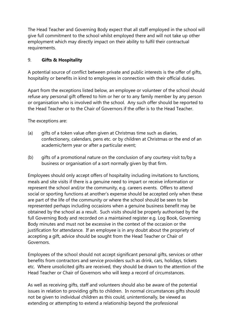The Head Teacher and Governing Body expect that all staff employed in the school will give full commitment to the school whilst employed there and will not take up other employment which may directly impact on their ability to fulfil their contractual requirements.

## 9. Gifts & Hospitality

A potential source of conflict between private and public interests is the offer of gifts, hospitality or benefits in kind to employees in connection with their official duties.

Apart from the exceptions listed below, an employee or volunteer of the school should refuse any personal gift offered to him or her or to any family member by any person or organisation who is involved with the school. Any such offer should be reported to the Head Teacher or to the Chair of Governors if the offer is to the Head Teacher.

The exceptions are:

- (a) gifts of a token value often given at Christmas time such as diaries, confectionery, calendars, pens etc. or by children at Christmas or the end of an academic/term year or after a particular event;
- (b) gifts of a promotional nature on the conclusion of any courtesy visit to/by a business or organisation of a sort normally given by that firm.

 Employees should only accept offers of hospitality including invitations to functions, meals and site visits if there is a genuine need to impart or receive information or represent the school and/or the community, e.g. careers events. Offers to attend social or sporting functions at another's expense should be accepted only when these are part of the life of the community or where the school should be seen to be represented perhaps including occasions when a genuine business benefit may be obtained by the school as a result. Such visits should be properly authorised by the full Governing Body and recorded on a maintained register e.g. Log Book, Governing Body minutes and must not be excessive in the context of the occasion or the justification for attendance. If an employee is in any doubt about the propriety of accepting a gift, advice should be sought from the Head Teacher or Chair of Governors.

Employees of the school should not accept significant personal gifts, services or other benefits from contractors and service providers such as drink, cars, holidays, tickets etc. Where unsolicited gifts are received, they should be drawn to the attention of the Head Teacher or Chair of Governors who will keep a record of circumstances.

As well as receiving gifts, staff and volunteers should also be aware of the potential issues in relation to providing gifts to children. In normal circumstances gifts should not be given to individual children as this could, unintentionally, be viewed as extending or attempting to extend a relationship beyond the professional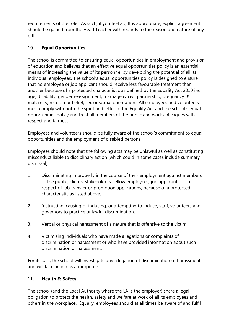requirements of the role. As such, if you feel a gift is appropriate, explicit agreement should be gained from the Head Teacher with regards to the reason and nature of any gift.

## 10. Equal Opportunities

The school is committed to ensuring equal opportunities in employment and provision of education and believes that an effective equal opportunities policy is an essential means of increasing the value of its personnel by developing the potential of all its individual employees. The school's equal opportunities policy is designed to ensure that no employee or job applicant should receive less favourable treatment than another because of a protected characteristic as defined by the Equality Act 2010 i.e. age, disability, gender reassignment, marriage & civil partnership, pregnancy & maternity, religion or belief, sex or sexual orientation. All employees and volunteers must comply with both the spirit and letter of the Equality Act and the school's equal opportunities policy and treat all members of the public and work colleagues with respect and fairness.

Employees and volunteers should be fully aware of the school's commitment to equal opportunities and the employment of disabled persons.

Employees should note that the following acts may be unlawful as well as constituting misconduct liable to disciplinary action (which could in some cases include summary dismissal):

- 1. Discriminating improperly in the course of their employment against members of the public, clients, stakeholders, fellow employees, job applicants or in respect of job transfer or promotion applications, because of a protected characteristic as listed above.
- 2. Instructing, causing or inducing, or attempting to induce, staff, volunteers and governors to practice unlawful discrimination.
- 3. Verbal or physical harassment of a nature that is offensive to the victim.
- 4. Victimising individuals who have made allegations or complaints of discrimination or harassment or who have provided information about such discrimination or harassment.

For its part, the school will investigate any allegation of discrimination or harassment and will take action as appropriate.

## 11. Health & Safety

The school (and the Local Authority where the LA is the employer) share a legal obligation to protect the health, safety and welfare at work of all its employees and others in the workplace. Equally, employees should at all times be aware of and fulfil